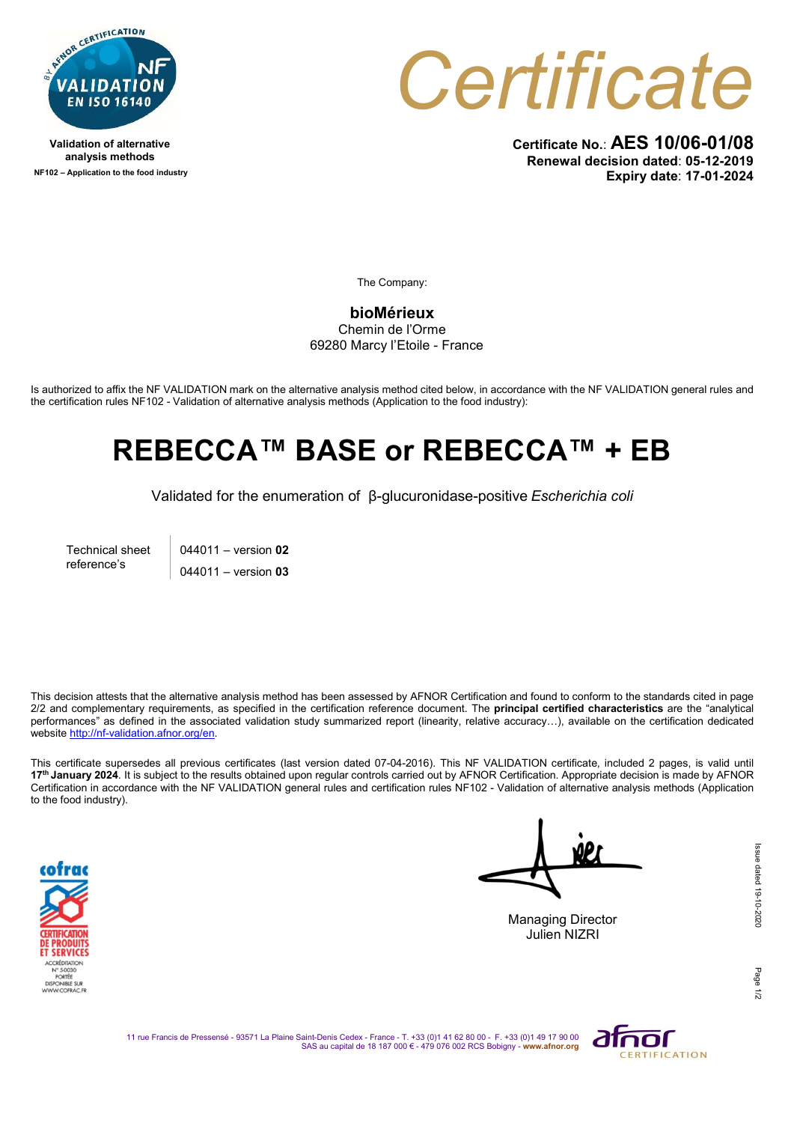

Validation of alternative analysis methods NF102 – Application to the food industry



Certificate No.: AES 10/06-01/08 Renewal decision dated: 05-12-2019 Expiry date: 17-01-2024

The Company:

bioMérieux Chemin de l'Orme 69280 Marcy l'Etoile - France

Is authorized to affix the NF VALIDATION mark on the alternative analysis method cited below, in accordance with the NF VALIDATION general rules and the certification rules NF102 - Validation of alternative analysis methods (Application to the food industry):

## REBECCA™ BASE or REBECCA™ + EB

Validated for the enumeration of β-glucuronidase-positive Escherichia coli

Technical sheet reference's

044011 – version 02 044011 – version 03

This decision attests that the alternative analysis method has been assessed by AFNOR Certification and found to conform to the standards cited in page 2/2 and complementary requirements, as specified in the certification reference document. The **principal certified characteristics** are the "analytical performances" as defined in the associated validation study summarized report (linearity, relative accuracy…), available on the certification dedicated website http://nf-validation.afnor.org/en.

This certificate supersedes all previous certificates (last version dated 07-04-2016). This NF VALIDATION certificate, included 2 pages, is valid until 17<sup>th</sup> January 2024. It is subject to the results obtained upon regular controls carried out by AFNOR Certification. Appropriate decision is made by AFNOR Certification in accordance with the NF VALIDATION general rules and certification rules NF102 - Validation of alternative analysis methods (Application to the food industry).



Managing Director

Julien NIZRI

Page

11 rue Francis de Pressensé - 93571 La Plaine Saint-Denis Cedex - France - T. +33 (0)1 41 62 80 00 - F. +33 (0)1 49 17 90 00<br>SAS au capital de 18 187 000 € - 479 076 002 RCS Bobigny - www.afnor.org